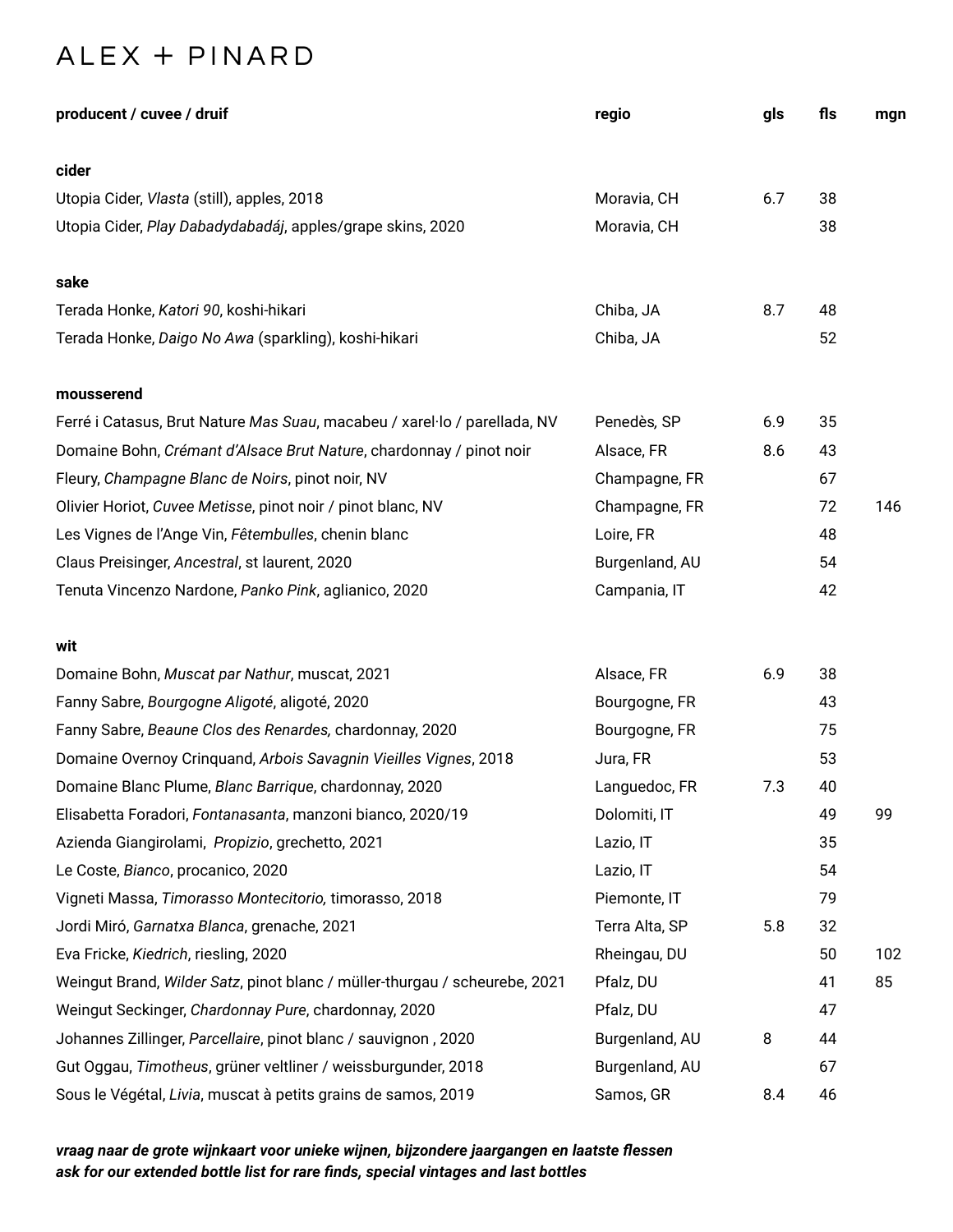## ALEX + PINARD

| producent / cuvee / druif                                                  | regio          | gls | fls | mgn |
|----------------------------------------------------------------------------|----------------|-----|-----|-----|
| cider                                                                      |                |     |     |     |
| Utopia Cider, Vlasta (still), apples, 2018                                 | Moravia, CH    | 6.7 | 38  |     |
| Utopia Cider, Play Dabadydabadáj, apples/grape skins, 2020                 | Moravia, CH    |     | 38  |     |
| sake                                                                       |                |     |     |     |
| Terada Honke, Katori 90, koshi-hikari                                      | Chiba, JA      | 8.7 | 48  |     |
| Terada Honke, Daigo No Awa (sparkling), koshi-hikari                       | Chiba, JA      |     | 52  |     |
| mousserend                                                                 |                |     |     |     |
| Ferré i Catasus, Brut Nature Mas Suau, macabeu / xarel·lo / parellada, NV  | Penedès, SP    | 6.9 | 35  |     |
| Domaine Bohn, Crémant d'Alsace Brut Nature, chardonnay / pinot noir        | Alsace, FR     | 8.6 | 43  |     |
| Fleury, Champagne Blanc de Noirs, pinot noir, NV                           | Champagne, FR  |     | 67  |     |
| Olivier Horiot, Cuvee Metisse, pinot noir / pinot blanc, NV                | Champagne, FR  |     | 72  | 146 |
| Les Vignes de l'Ange Vin, Fêtembulles, chenin blanc                        | Loire, FR      |     | 48  |     |
| Claus Preisinger, Ancestral, st laurent, 2020                              | Burgenland, AU |     | 54  |     |
| Tenuta Vincenzo Nardone, Panko Pink, aglianico, 2020                       | Campania, IT   |     | 42  |     |
| wit                                                                        |                |     |     |     |
| Domaine Bohn, Muscat par Nathur, muscat, 2021                              | Alsace, FR     | 6.9 | 38  |     |
| Fanny Sabre, Bourgogne Aligoté, aligoté, 2020                              | Bourgogne, FR  |     | 43  |     |
| Fanny Sabre, Beaune Clos des Renardes, chardonnay, 2020                    | Bourgogne, FR  |     | 75  |     |
| Domaine Overnoy Crinquand, Arbois Savagnin Vieilles Vignes, 2018           | Jura, FR       |     | 53  |     |
| Domaine Blanc Plume, Blanc Barrique, chardonnay, 2020                      | Languedoc, FR  | 7.3 | 40  |     |
| Elisabetta Foradori, Fontanasanta, manzoni bianco, 2020/19                 | Dolomiti, IT   |     | 49  | 99  |
| Azienda Giangirolami, Propizio, grechetto, 2021                            | Lazio, IT      |     | 35  |     |
| Le Coste, Bianco, procanico, 2020                                          | Lazio, IT      |     | 54  |     |
| Vigneti Massa, Timorasso Montecitorio, timorasso, 2018                     | Piemonte, IT   |     | 79  |     |
| Jordi Miró, Garnatxa Blanca, grenache, 2021                                | Terra Alta, SP | 5.8 | 32  |     |
| Eva Fricke, Kiedrich, riesling, 2020                                       | Rheingau, DU   |     | 50  | 102 |
| Weingut Brand, Wilder Satz, pinot blanc / müller-thurgau / scheurebe, 2021 | Pfalz, DU      |     | 41  | 85  |
| Weingut Seckinger, Chardonnay Pure, chardonnay, 2020                       | Pfalz, DU      |     | 47  |     |
| Johannes Zillinger, Parcellaire, pinot blanc / sauvignon, 2020             | Burgenland, AU | 8   | 44  |     |
| Gut Oggau, Timotheus, grüner veltliner / weissburgunder, 2018              | Burgenland, AU |     | 67  |     |
| Sous le Végétal, Livia, muscat à petits grains de samos, 2019              | Samos, GR      | 8.4 | 46  |     |

*vraag naar de grote wijnkaart voor unieke wijnen, bijzondere jaargangen en laatste flessen ask for our extended bottle list for rare finds, special vintages and last bottles*